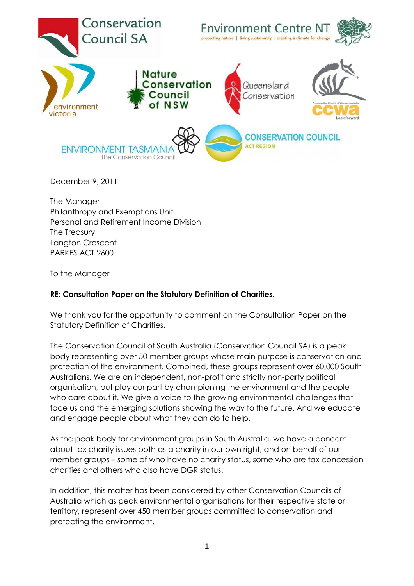

December 9, 2011

The Manager Philanthropy and Exemptions Unit Personal and Retirement Income Division The Treasury Langton Crescent PARKES ACT 2600

To the Manager

## **RE: Consultation Paper on the Statutory Definition of Charities.**

We thank you for the opportunity to comment on the Consultation Paper on the Statutory Definition of Charities.

The Conservation Council of South Australia (Conservation Council SA) is a peak body representing over 50 member groups whose main purpose is conservation and protection of the environment. Combined, these groups represent over 60,000 South Australians. We are an independent, non-profit and strictly non-party political organisation, but play our part by championing the environment and the people who care about it. We give a voice to the growing environmental challenges that face us and the emerging solutions showing the way to the future. And we educate and engage people about what they can do to help.

As the peak body for environment groups in South Australia, we have a concern about tax charity issues both as a charity in our own right, and on behalf of our member groups – some of who have no charity status, some who are tax concession charities and others who also have DGR status.

In addition, this matter has been considered by other Conservation Councils of Australia which as peak environmental organisations for their respective state or territory, represent over 450 member groups committed to conservation and protecting the environment.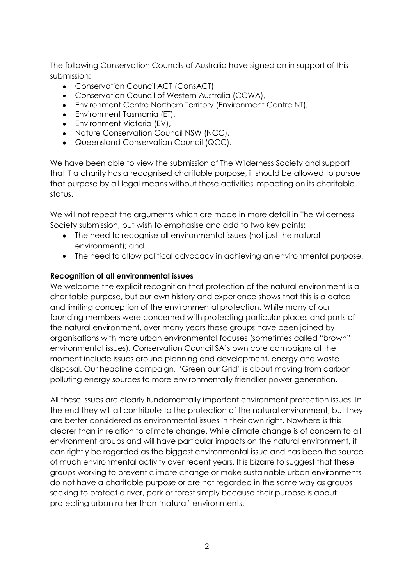The following Conservation Councils of Australia have signed on in support of this submission:

- Conservation Council ACT (ConsACT),
- Conservation Council of Western Australia (CCWA),
- Environment Centre Northern Territory (Environment Centre NT),
- Environment Tasmania (ET),
- Environment Victoria (EV),
- Nature Conservation Council NSW (NCC),
- Queensland Conservation Council (QCC).

We have been able to view the submission of The Wilderness Society and support that if a charity has a recognised charitable purpose, it should be allowed to pursue that purpose by all legal means without those activities impacting on its charitable status.

We will not repeat the arguments which are made in more detail in The Wilderness Society submission, but wish to emphasise and add to two key points:

- The need to recognise all environmental issues (not just the natural environment); and
- The need to allow political advocacy in achieving an environmental purpose.

## **Recognition of all environmental issues**

We welcome the explicit recognition that protection of the natural environment is a charitable purpose, but our own history and experience shows that this is a dated and limiting conception of the environmental protection. While many of our founding members were concerned with protecting particular places and parts of the natural environment, over many years these groups have been joined by organisations with more urban environmental focuses (sometimes called "brown" environmental issues). Conservation Council SA"s own core campaigns at the moment include issues around planning and development, energy and waste disposal. Our headline campaign, "Green our Grid" is about moving from carbon polluting energy sources to more environmentally friendlier power generation.

All these issues are clearly fundamentally important environment protection issues. In the end they will all contribute to the protection of the natural environment, but they are better considered as environmental issues in their own right. Nowhere is this clearer than in relation to climate change. While climate change is of concern to all environment groups and will have particular impacts on the natural environment, it can rightly be regarded as the biggest environmental issue and has been the source of much environmental activity over recent years. It is bizarre to suggest that these groups working to prevent climate change or make sustainable urban environments do not have a charitable purpose or are not regarded in the same way as groups seeking to protect a river, park or forest simply because their purpose is about protecting urban rather than "natural" environments.